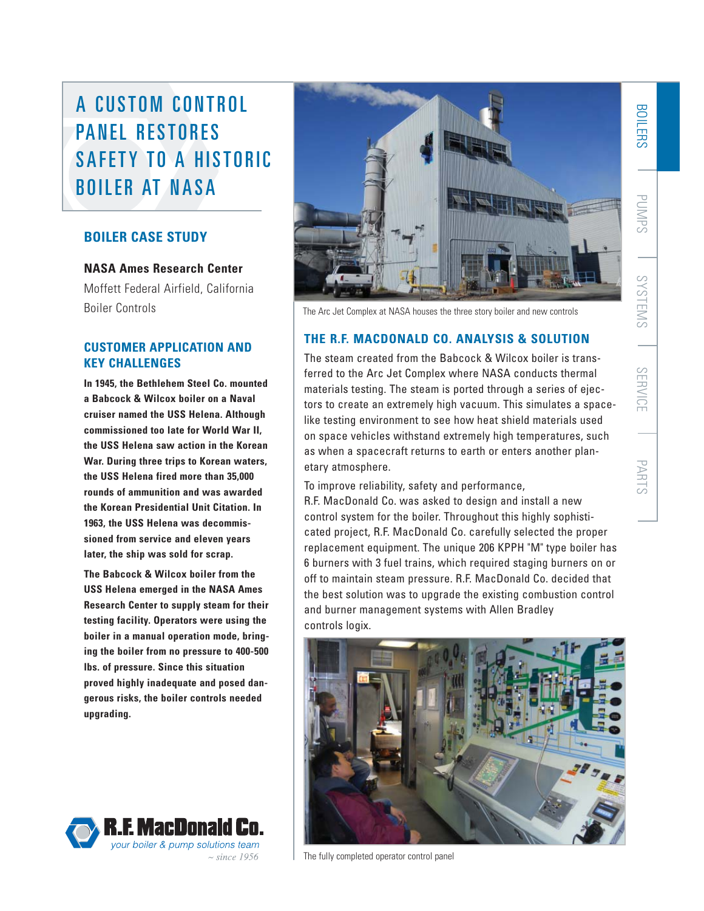# A CUSTOM CONTROL PANEL RESTORES SAFFTY TO A HISTORIC BOILER AT NASA

# **BOILER CASE STUDY**

# **NASA Ames Research Center**

Moffett Federal Airfield, California Boiler Controls

# **CUSTOMER APPLICATION AND KEY CHALLENGES**

**In 1945, the Bethlehem Steel Co. mounted a Babcock & Wilcox boiler on a Naval cruiser named the USS Helena. Although commissioned too late for World War II, the USS Helena saw action in the Korean War. During three trips to Korean waters, the USS Helena fired more than 35,000 rounds of ammunition and was awarded the Korean Presidential Unit Citation. In 1963, the USS Helena was decommissioned from service and eleven years later, the ship was sold for scrap.**

**The Babcock & Wilcox boiler from the USS Helena emerged in the NASA Ames Research Center to supply steam for their testing facility. Operators were using the boiler in a manual operation mode, bringing the boiler from no pressure to 400-500 lbs. of pressure. Since this situation proved highly inadequate and posed dangerous risks, the boiler controls needed upgrading.**





The Arc Jet Complex at NASA houses the three story boiler and new controls

# **THE R.F. MACDONALD CO. ANALYSIS & SOLUTION**

The steam created from the Babcock & Wilcox boiler is transferred to the Arc Jet Complex where NASA conducts thermal materials testing. The steam is ported through a series of ejectors to create an extremely high vacuum. This simulates a spacelike testing environment to see how heat shield materials used on space vehicles withstand extremely high temperatures, such as when a spacecraft returns to earth or enters another planetary atmosphere.

To improve reliability, safety and performance,

R.F. MacDonald Co. was asked to design and install a new control system for the boiler. Throughout this highly sophisticated project, R.F. MacDonald Co. carefully selected the proper replacement equipment. The unique 206 KPPH "M" type boiler has 6 burners with 3 fuel trains, which required staging burners on or off to maintain steam pressure. R.F. MacDonald Co. decided that the best solution was to upgrade the existing combustion control and burner management systems with Allen Bradley controls logix.



The fully completed operator control panel

BOILERS

PUMPS